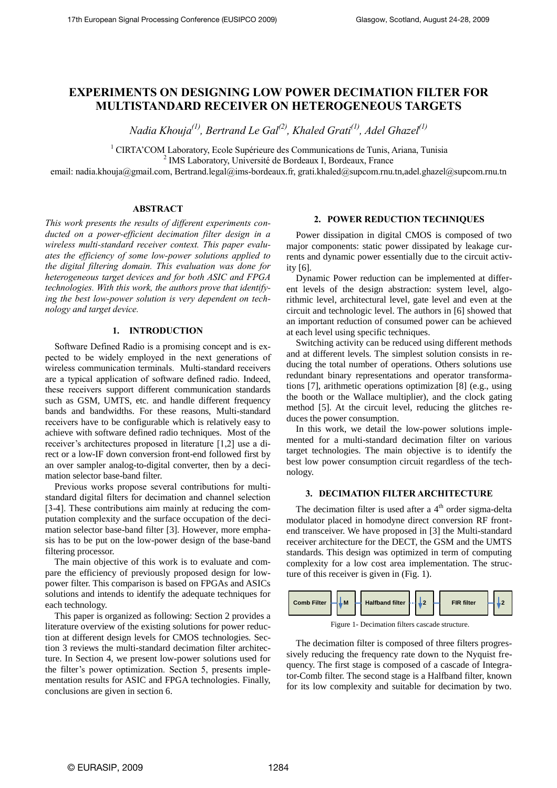# **EXPERIMENTS ON DESIGNING LOW POWER DECIMATION FILTER FOR MULTISTANDARD RECEIVER ON HETEROGENEOUS TARGETS**

*Nadia Khouja(1) , Bertrand Le Gal(2) , Khaled Grati(1) , Adel Ghazel(1)*

<sup>1</sup> CIRTA'COM Laboratory, Ecole Supérieure des Communications de Tunis, Ariana, Tunisia

2 IMS Laboratory, Université de Bordeaux I, Bordeaux, France

email: [nadia.khouja@gmail.com,](mailto:nadia.khouja@gmail.com) Bertrand.legal@ims-bordeaux.fr, grati.khaled@supcom.rnu.tn[,adel.ghazel@supcom.rnu.tn](mailto:adel.ghazel@supcom.rnu.tn)

# **ABSTRACT**

*This work presents the results of different experiments conducted on a power-efficient decimation filter design in a wireless multi-standard receiver context. This paper evaluates the efficiency of some low-power solutions applied to the digital filtering domain. This evaluation was done for heterogeneous target devices and for both ASIC and FPGA technologies. With this work, the authors prove that identifying the best low-power solution is very dependent on technology and target device.* 

## **1. INTRODUCTION**

Software Defined Radio is a promising concept and is expected to be widely employed in the next generations of wireless communication terminals. Multi-standard receivers are a typical application of software defined radio. Indeed, these receivers support different communication standards such as GSM, UMTS, etc. and handle different frequency bands and bandwidths. For these reasons, Multi-standard receivers have to be configurable which is relatively easy to achieve with software defined radio techniques. Most of the receiver's architectures proposed in literature [1,2] use a direct or a low-IF down conversion front-end followed first by an over sampler analog-to-digital converter, then by a decimation selector base-band filter.

Previous works propose several contributions for multistandard digital filters for decimation and channel selection [3-4]. These contributions aim mainly at reducing the computation complexity and the surface occupation of the decimation selector base-band filter [3]. However, more emphasis has to be put on the low-power design of the base-band filtering processor.

The main objective of this work is to evaluate and compare the efficiency of previously proposed design for lowpower filter. This comparison is based on FPGAs and ASICs solutions and intends to identify the adequate techniques for each technology.

This paper is organized as following: Section 2 provides a literature overview of the existing solutions for power reduction at different design levels for CMOS technologies. Section 3 reviews the multi-standard decimation filter architecture. In Section 4, we present low-power solutions used for the filter's power optimization. Section 5, presents implementation results for ASIC and FPGA technologies. Finally, conclusions are given in section 6.

# **2. POWER REDUCTION TECHNIQUES**

Power dissipation in digital CMOS is composed of two major components: static power dissipated by leakage currents and dynamic power essentially due to the circuit activity [6].

Dynamic Power reduction can be implemented at different levels of the design abstraction: system level, algorithmic level, architectural level, gate level and even at the circuit and technologic level. The authors in [6] showed that an important reduction of consumed power can be achieved at each level using specific techniques.

Switching activity can be reduced using different methods and at different levels. The simplest solution consists in reducing the total number of operations. Others solutions use redundant binary representations and operator transformations [7], arithmetic operations optimization [8] (e.g., using the booth or the Wallace multiplier), and the clock gating method [5]. At the circuit level, reducing the glitches reduces the power consumption.

In this work, we detail the low-power solutions implemented for a multi-standard decimation filter on various target technologies. The main objective is to identify the best low power consumption circuit regardless of the technology.

#### **3. DECIMATION FILTER ARCHITECTURE**

The decimation filter is used after a  $4<sup>th</sup>$  order sigma-delta modulator placed in homodyne direct conversion RF frontend transceiver. We have proposed in [3] the Multi-standard receiver architecture for the DECT, the GSM and the UMTS standards. This design was optimized in term of computing complexity for a low cost area implementation. The structure of this receiver is given in (Fig. 1).



Figure 1- Decimation filters cascade structure.

The decimation filter is composed of three filters progressively reducing the frequency rate down to the Nyquist frequency. The first stage is composed of a cascade of Integrator-Comb filter. The second stage is a Halfband filter, known for its low complexity and suitable for decimation by two.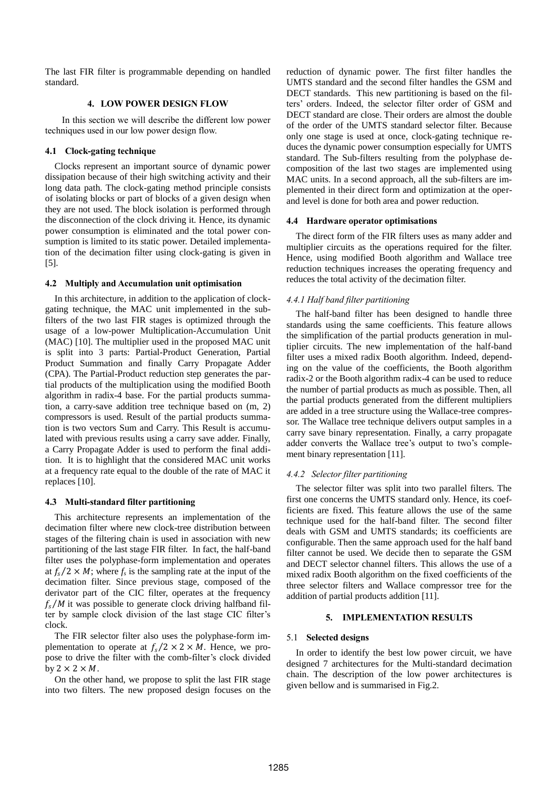The last FIR filter is programmable depending on handled standard.

# **4. LOW POWER DESIGN FLOW**

In this section we will describe the different low power techniques used in our low power design flow.

#### **4.1 Clock-gating technique**

Clocks represent an important source of dynamic power dissipation because of their high switching activity and their long data path. The clock-gating method principle consists of isolating blocks or part of blocks of a given design when they are not used. The block isolation is performed through the disconnection of the clock driving it. Hence, its dynamic power consumption is eliminated and the total power consumption is limited to its static power. Detailed implementation of the decimation filter using clock-gating is given in [5].

#### **4.2 Multiply and Accumulation unit optimisation**

In this architecture, in addition to the application of clockgating technique, the MAC unit implemented in the subfilters of the two last FIR stages is optimized through the usage of a low-power Multiplication-Accumulation Unit (MAC) [10]. The multiplier used in the proposed MAC unit is split into 3 parts: Partial-Product Generation, Partial Product Summation and finally Carry Propagate Adder (CPA). The Partial-Product reduction step generates the partial products of the multiplication using the modified Booth algorithm in radix-4 base. For the partial products summation, a carry-save addition tree technique based on (m, 2) compressors is used. Result of the partial products summation is two vectors Sum and Carry. This Result is accumulated with previous results using a carry save adder. Finally, a Carry Propagate Adder is used to perform the final addition. It is to highlight that the considered MAC unit works at a frequency rate equal to the double of the rate of MAC it replaces [10].

# **4.3 Multi-standard filter partitioning**

This architecture represents an implementation of the decimation filter where new clock-tree distribution between stages of the filtering chain is used in association with new partitioning of the last stage FIR filter. In fact, the half-band filter uses the polyphase-form implementation and operates at  $f_s/2 \times M$ ; where  $f_s$  is the sampling rate at the input of the decimation filter. Since previous stage, composed of the derivator part of the CIC filter, operates at the frequency  $f_s/M$  it was possible to generate clock driving halfband filter by sample clock division of the last stage CIC filter's clock.

The FIR selector filter also uses the polyphase-form implementation to operate at  $f_s/2 \times 2 \times M$ . Hence, we propose to drive the filter with the comb-filter's clock divided by  $2 \times 2 \times M$ .

On the other hand, we propose to split the last FIR stage into two filters. The new proposed design focuses on the reduction of dynamic power. The first filter handles the UMTS standard and the second filter handles the GSM and DECT standards. This new partitioning is based on the filters' orders. Indeed, the selector filter order of GSM and DECT standard are close. Their orders are almost the double of the order of the UMTS standard selector filter. Because only one stage is used at once, clock-gating technique reduces the dynamic power consumption especially for UMTS standard. The Sub-filters resulting from the polyphase decomposition of the last two stages are implemented using MAC units. In a second approach, all the sub-filters are implemented in their direct form and optimization at the operand level is done for both area and power reduction.

#### **4.4 Hardware operator optimisations**

The direct form of the FIR filters uses as many adder and multiplier circuits as the operations required for the filter. Hence, using modified Booth algorithm and Wallace tree reduction techniques increases the operating frequency and reduces the total activity of the decimation filter.

# *4.4.1 Half band filter partitioning*

The half-band filter has been designed to handle three standards using the same coefficients. This feature allows the simplification of the partial products generation in multiplier circuits. The new implementation of the half-band filter uses a mixed radix Booth algorithm. Indeed, depending on the value of the coefficients, the Booth algorithm radix-2 or the Booth algorithm radix-4 can be used to reduce the number of partial products as much as possible. Then, all the partial products generated from the different multipliers are added in a tree structure using the Wallace-tree compressor. The Wallace tree technique delivers output samples in a carry save binary representation. Finally, a carry propagate adder converts the Wallace tree's output to two's complement binary representation [11].

# *4.4.2 Selector filter partitioning*

The selector filter was split into two parallel filters. The first one concerns the UMTS standard only. Hence, its coefficients are fixed. This feature allows the use of the same technique used for the half-band filter. The second filter deals with GSM and UMTS standards; its coefficients are configurable. Then the same approach used for the half band filter cannot be used. We decide then to separate the GSM and DECT selector channel filters. This allows the use of a mixed radix Booth algorithm on the fixed coefficients of the three selector filters and Wallace compressor tree for the addition of partial products addition [11].

#### **5. IMPLEMENTATION RESULTS**

# 5.1 **Selected designs**

In order to identify the best low power circuit, we have designed 7 architectures for the Multi-standard decimation chain. The description of the low power architectures is given bellow and is summarised in Fig.2.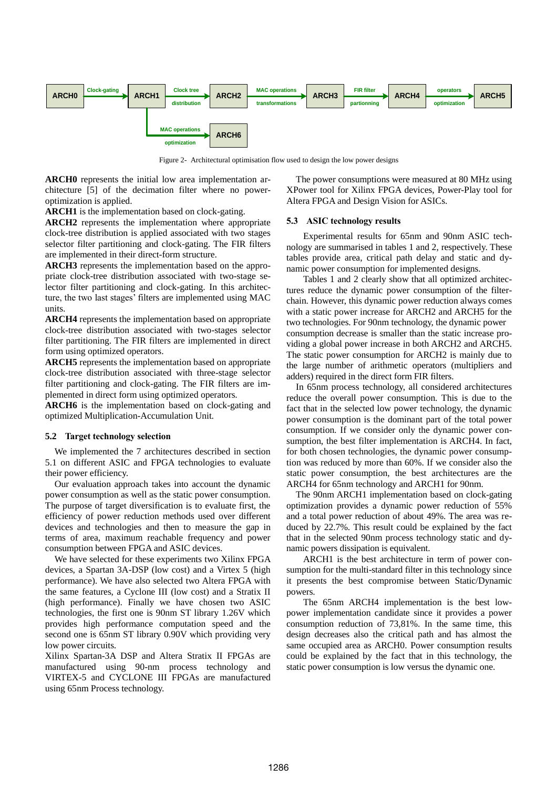

Figure 2- Architectural optimisation flow used to design the low power designs

**ARCH0** represents the initial low area implementation architecture [5] of the decimation filter where no poweroptimization is applied.

**ARCH1** is the implementation based on clock-gating.

**ARCH2** represents the implementation where appropriate clock-tree distribution is applied associated with two stages selector filter partitioning and clock-gating. The FIR filters are implemented in their direct-form structure.

**ARCH3** represents the implementation based on the appropriate clock-tree distribution associated with two-stage selector filter partitioning and clock-gating. In this architecture, the two last stages' filters are implemented using MAC units.

**ARCH4** represents the implementation based on appropriate clock-tree distribution associated with two-stages selector filter partitioning. The FIR filters are implemented in direct form using optimized operators.

**ARCH5** represents the implementation based on appropriate clock-tree distribution associated with three-stage selector filter partitioning and clock-gating. The FIR filters are implemented in direct form using optimized operators.

**ARCH6** is the implementation based on clock-gating and optimized Multiplication-Accumulation Unit.

# **5.2 Target technology selection**

We implemented the 7 architectures described in section 5.1 on different ASIC and FPGA technologies to evaluate their power efficiency.

Our evaluation approach takes into account the dynamic power consumption as well as the static power consumption. The purpose of target diversification is to evaluate first, the efficiency of power reduction methods used over different devices and technologies and then to measure the gap in terms of area, maximum reachable frequency and power consumption between FPGA and ASIC devices.

We have selected for these experiments two Xilinx FPGA devices, a Spartan 3A-DSP (low cost) and a Virtex 5 (high performance). We have also selected two Altera FPGA with the same features, a Cyclone III (low cost) and a Stratix II (high performance). Finally we have chosen two ASIC technologies, the first one is 90nm ST library 1.26V which provides high performance computation speed and the second one is 65nm ST library 0.90V which providing very low power circuits.

Xilinx Spartan-3A DSP and Altera Stratix II FPGAs are manufactured using 90-nm process technology and VIRTEX-5 and CYCLONE III FPGAs are manufactured using 65nm Process technology.

The power consumptions were measured at 80 MHz using XPower tool for Xilinx FPGA devices, Power-Play tool for Altera FPGA and Design Vision for ASICs.

## **5.3 ASIC technology results**

Experimental results for 65nm and 90nm ASIC technology are summarised in tables 1 and 2, respectively. These tables provide area, critical path delay and static and dynamic power consumption for implemented designs.

Tables 1 and 2 clearly show that all optimized architectures reduce the dynamic power consumption of the filterchain. However, this dynamic power reduction always comes with a static power increase for ARCH2 and ARCH5 for the two technologies. For 90nm technology, the dynamic power consumption decrease is smaller than the static increase providing a global power increase in both ARCH2 and ARCH5. The static power consumption for ARCH2 is mainly due to the large number of arithmetic operators (multipliers and adders) required in the direct form FIR filters.

In 65nm process technology, all considered architectures reduce the overall power consumption. This is due to the fact that in the selected low power technology, the dynamic power consumption is the dominant part of the total power consumption. If we consider only the dynamic power consumption, the best filter implementation is ARCH4. In fact, for both chosen technologies, the dynamic power consumption was reduced by more than 60%. If we consider also the static power consumption, the best architectures are the ARCH4 for 65nm technology and ARCH1 for 90nm.

The 90nm ARCH1 implementation based on clock-gating optimization provides a dynamic power reduction of 55% and a total power reduction of about 49%. The area was reduced by 22.7%. This result could be explained by the fact that in the selected 90nm process technology static and dynamic powers dissipation is equivalent.

ARCH1 is the best architecture in term of power consumption for the multi-standard filter in this technology since it presents the best compromise between Static/Dynamic powers.

The 65nm ARCH4 implementation is the best lowpower implementation candidate since it provides a power consumption reduction of 73,81%. In the same time, this design decreases also the critical path and has almost the same occupied area as ARCH0. Power consumption results could be explained by the fact that in this technology, the static power consumption is low versus the dynamic one.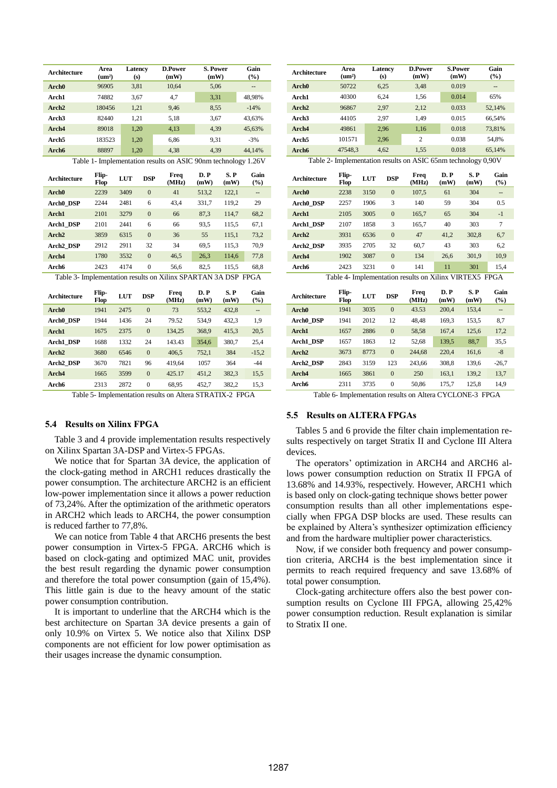| Architecture                                                  | Area<br>$(\text{um}^2)$ | Latency<br>(s) |                  | D.Power<br>(mW) | S. Power<br>(mW) |             | Gain<br>(%)              |  |  |  |  |  |  |
|---------------------------------------------------------------|-------------------------|----------------|------------------|-----------------|------------------|-------------|--------------------------|--|--|--|--|--|--|
| Arch <sub>0</sub>                                             | 96905                   | 3,81           |                  | 10.64           | 5,06             |             | --                       |  |  |  |  |  |  |
| Arch1                                                         | 74882                   | 3,67           |                  | 4,7             | 3,31             |             | 48,98%                   |  |  |  |  |  |  |
| Arch <sub>2</sub>                                             | 180456                  | 1,21           |                  | 9,46            | 8,55             |             | $-14%$                   |  |  |  |  |  |  |
| Arch <sub>3</sub>                                             | 82440                   | 1,21           |                  | 5,18            | 3,67             |             | 43,63%                   |  |  |  |  |  |  |
| Arch4                                                         | 89018                   |                | 1,20             | 4,13            | 4,39             |             | 45,63%                   |  |  |  |  |  |  |
| Arch <sub>5</sub>                                             | 183523                  | 1,20           |                  | 6,86            | 9,31             |             | $-3%$                    |  |  |  |  |  |  |
| Arch6                                                         | 88897                   | 1,20           |                  | 4,38            | 4.39             |             | 44,14%                   |  |  |  |  |  |  |
| Table 1- Implementation results on ASIC 90nm technology 1.26V |                         |                |                  |                 |                  |             |                          |  |  |  |  |  |  |
| Architecture                                                  | Flip-<br><b>Flop</b>    | <b>LUT</b>     | <b>DSP</b>       | Freq<br>(MHz)   | D.P<br>(mW)      | S.P<br>(mW) | Gain<br>(%)              |  |  |  |  |  |  |
| Arch <sub>0</sub>                                             | 2239                    | 3409           | $\overline{0}$   | 41              | 513,2            | 122,1       | $\overline{\phantom{a}}$ |  |  |  |  |  |  |
| Arch0 DSP                                                     | 2244                    | 2481           | 6                | 43,4            | 331,7            | 119,2       | 29                       |  |  |  |  |  |  |
| Arch1                                                         | 2101                    | 3279           | $\overline{0}$   | 66              | 87,3             | 114.7       | 68,2                     |  |  |  |  |  |  |
| Arch1 DSP                                                     | 2101                    | 2441           | 6                | 66              | 93,5             | 115,5       | 67,1                     |  |  |  |  |  |  |
| Arch <sub>2</sub>                                             | 3859                    | 6315           | $\Omega$         | 36              | 55               | 115,1       | 73,2                     |  |  |  |  |  |  |
| Arch <sub>2</sub> DSP                                         | 2912                    | 2911           | 32               | 34              | 69,5             | 115,3       | 70,9                     |  |  |  |  |  |  |
| Arch4                                                         | 1780                    | 3532           | $\overline{0}$   | 46,5            | 26,3             | 114,6       | 77,8                     |  |  |  |  |  |  |
| Arch6                                                         | 2423                    | 4174           | $\overline{0}$   | 56,6            | 82,5             | 115,5       | 68,8                     |  |  |  |  |  |  |
| Table 3- Implementation results on Xilinx SPARTAN 3A DSP FPGA |                         |                |                  |                 |                  |             |                          |  |  |  |  |  |  |
| Architecture                                                  | Flip-<br>Flop           | <b>LUT</b>     | <b>DSP</b>       | Freq<br>(MHz)   | D.P<br>(mW)      | S.P<br>(mW) | Gain<br>(%)              |  |  |  |  |  |  |
| Arch <sub>0</sub>                                             | 1941                    | 2475           | $\mathbf{0}$     | 73              | 553,2            | 432,8       | $\overline{\phantom{a}}$ |  |  |  |  |  |  |
| Arch0 DSP                                                     | 1944                    | 1436           | 24               | 79.52           | 534,9            | 432,3       | 1,9                      |  |  |  |  |  |  |
| Arch1                                                         | 1675                    | 2375           | $\mathbf{0}$     | 134,25          | 368,9            | 415,3       | 20,5                     |  |  |  |  |  |  |
| Arch1 DSP                                                     | 1688                    | 1332           | 24               | 143.43          | 354,6            | 380,7       | 25,4                     |  |  |  |  |  |  |
| Arch <sub>2</sub>                                             | 3680                    | 6546           | $\mathbf{0}$     | 406,5           | 752,1            | 384         | $-15,2$                  |  |  |  |  |  |  |
| Arch <sub>2</sub> DSP                                         | 3670                    | 7821           | 96               | 419,64          | 1057             | 364         | $-44$                    |  |  |  |  |  |  |
| Arch4                                                         | 1665                    | 3599           | $\mathbf{0}$     | 425.17          | 451,2            | 382,3       | 15,5                     |  |  |  |  |  |  |
| Arch6                                                         | 2313                    | 2872           | $\boldsymbol{0}$ | 68,95           | 452,7            | 382,2       | 15,3                     |  |  |  |  |  |  |

Table 5- Implementation results on Altera STRATIX-2 FPGA

# **5.4 Results on Xilinx FPGA**

Table 3 and 4 provide implementation results respectively on Xilinx Spartan 3A-DSP and Virtex-5 FPGAs.

We notice that for Spartan 3A device, the application of the clock-gating method in ARCH1 reduces drastically the power consumption. The architecture ARCH2 is an efficient low-power implementation since it allows a power reduction of 73,24%. After the optimization of the arithmetic operators in ARCH2 which leads to ARCH4, the power consumption is reduced farther to 77,8%.

We can notice from Table 4 that ARCH6 presents the best power consumption in Virtex-5 FPGA. ARCH6 which is based on clock-gating and optimized MAC unit, provides the best result regarding the dynamic power consumption and therefore the total power consumption (gain of 15,4%). This little gain is due to the heavy amount of the static power consumption contribution.

It is important to underline that the ARCH4 which is the best architecture on Spartan 3A device presents a gain of only 10.9% on Virtex 5. We notice also that Xilinx DSP components are not efficient for low power optimisation as their usages increase the dynamic consumption.

| <b>Architecture</b>                                           | Area<br>$(\mathbf{um}^2)$ |            | Latency<br>(s)   | <b>D.Power</b><br>(mW)                                 | <b>S.Power</b><br>(mW) |             | Gain<br>(%)              |  |  |  |  |  |
|---------------------------------------------------------------|---------------------------|------------|------------------|--------------------------------------------------------|------------------------|-------------|--------------------------|--|--|--|--|--|
| Arch <sub>0</sub>                                             | 50722                     |            | 6,25             | 3,48                                                   | 0.019                  |             | --                       |  |  |  |  |  |
| Arch1                                                         | 40300                     | 6,24       |                  | 1,56                                                   | 0.014                  |             | 65%                      |  |  |  |  |  |
| Arch <sub>2</sub>                                             | 96867                     |            | 2,97             | 2,12                                                   | 0.033                  |             | 52,14%                   |  |  |  |  |  |
| Arch <sub>3</sub>                                             | 44105                     |            | 2,97             | 1,49                                                   | 0.015                  |             | 66,54%                   |  |  |  |  |  |
| Arch4                                                         | 49861                     | 2,96       |                  | 1,16                                                   | 0.018                  |             | 73,81%                   |  |  |  |  |  |
| Arch <sub>5</sub>                                             | 101571                    |            | 2,96             | $\overline{c}$                                         | 0.038                  |             | 54,8%                    |  |  |  |  |  |
| Arch6                                                         | 47548,3                   |            | 4,62             | 1,55                                                   | 0.018                  |             | 65,14%                   |  |  |  |  |  |
| Table 2- Implementation results on ASIC 65nm technology 0,90V |                           |            |                  |                                                        |                        |             |                          |  |  |  |  |  |
| <b>Architecture</b>                                           | Flip-<br>Flop             | <b>LUT</b> | <b>DSP</b>       | Freq<br>(MHz)                                          | D. P<br>(mW)           | S.P<br>(mW) | Gain<br>(%)              |  |  |  |  |  |
| Arch <sub>0</sub>                                             | 2238                      | 3150       | $\Omega$         | 107,5                                                  | 61                     | 304         | $\overline{\phantom{a}}$ |  |  |  |  |  |
| Arch0 DSP                                                     | 2257                      | 1906       | 3                | 140                                                    | 59                     | 304         | $0.5^{\circ}$            |  |  |  |  |  |
| Arch1                                                         | 2105                      | 3005       | $\mathbf{0}$     | 165,7                                                  | 65                     | 304         | $-1$                     |  |  |  |  |  |
| Arch1 DSP                                                     | 2107                      | 1858       | 3                | 165,7                                                  | 40                     | 303         | $\overline{7}$           |  |  |  |  |  |
| Arch <sub>2</sub>                                             | 3931                      | 6536       | $\boldsymbol{0}$ | 47                                                     | 41,2                   | 302,8       | 6,7                      |  |  |  |  |  |
| Arch <sub>2</sub> DSP                                         | 3935                      | 2705       | 32               | 60,7                                                   | 43                     | 303         | 6,2                      |  |  |  |  |  |
| Arch4                                                         | 1902                      | 3087       | $\boldsymbol{0}$ | 134                                                    | 26,6                   | 301,9       | 10,9                     |  |  |  |  |  |
| Arch6                                                         | 2423                      | 3231       | $\mathbf{0}$     | 141                                                    | 11                     | 301         | 15,4                     |  |  |  |  |  |
|                                                               |                           |            |                  | Table 4- Implementation results on Xilinx VIRTEX5 FPGA |                        |             |                          |  |  |  |  |  |
| Architecture                                                  | Flip-<br>Flop             | <b>LUT</b> | <b>DSP</b>       | Freq<br>(MHz)                                          | D.P<br>(mW)            | S.P<br>(mW) | Gain<br>$(\%)$           |  |  |  |  |  |
| Arch <sub>0</sub>                                             | 1941                      | 3035       | $\overline{0}$   | 43.53                                                  | 200,4                  | 153,4       | --                       |  |  |  |  |  |
| Arch0 DSP                                                     | 1941                      | 2012       | 12               | 48,48                                                  | 169,3                  | 153,5       | 8,7                      |  |  |  |  |  |
| Arch1                                                         | 1657                      | 2886       | $\boldsymbol{0}$ | 58,58                                                  | 167,4                  | 125,6       | 17,2                     |  |  |  |  |  |
| Arch1 DSP                                                     | 1657                      | 1863       | 12               | 52,68                                                  | 139,5                  | 88,7        | 35,5                     |  |  |  |  |  |
| Arch <sub>2</sub>                                             | 3673                      | 8773       | $\boldsymbol{0}$ | 244,68                                                 | 220,4                  | 161,6       | $-8$                     |  |  |  |  |  |
| Arch <sub>2</sub> DSP                                         | 2843                      | 3159       | 123              | 243,66                                                 | 308,8                  | 139,6       | $-26,7$                  |  |  |  |  |  |
| Arch4                                                         | 1665                      | 3861       | $\overline{0}$   | 250                                                    | 163,1                  | 139,2       | 13,7                     |  |  |  |  |  |
| Arch6                                                         | 2311                      | 3735       | $\boldsymbol{0}$ | 50,86                                                  | 175,7                  | 125,8       | 14,9                     |  |  |  |  |  |

Table 6- Implementation results on Altera CYCLONE-3 FPGA

#### **5.5 Results on ALTERA FPGAs**

Tables 5 and 6 provide the filter chain implementation results respectively on target Stratix II and Cyclone III Altera devices.

The operators' optimization in ARCH4 and ARCH6 allows power consumption reduction on Stratix II FPGA of 13.68% and 14.93%, respectively. However, ARCH1 which is based only on clock-gating technique shows better power consumption results than all other implementations especially when FPGA DSP blocks are used. These results can be explained by Altera's synthesizer optimization efficiency and from the hardware multiplier power characteristics.

Now, if we consider both frequency and power consumption criteria, ARCH4 is the best implementation since it permits to reach required frequency and save 13.68% of total power consumption.

Clock-gating architecture offers also the best power consumption results on Cyclone III FPGA, allowing 25,42% power consumption reduction. Result explanation is similar to Stratix II one.